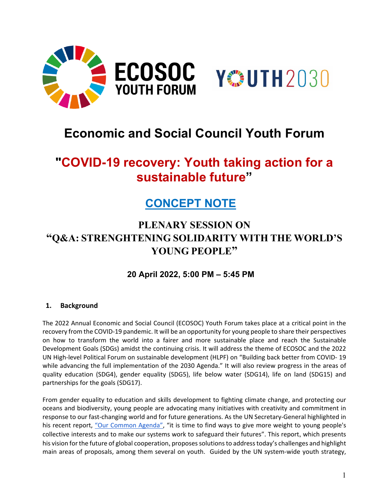



# **Economic and Social Council Youth Forum**

# **"COVID-19 recovery: Youth taking action for a sustainable future"**

## **CONCEPT NOTE**

### **PLENARY SESSION ON "Q&A: STRENGHTENING SOLIDARITY WITH THE WORLD'S YOUNG PEOPLE"**

### **20 April 2022, 5:00 PM – 5:45 PM**

#### **1. Background**

The 2022 Annual Economic and Social Council (ECOSOC) Youth Forum takes place at a critical point in the recovery from the COVID-19 pandemic. It will be an opportunity for young people to share their perspectives on how to transform the world into a fairer and more sustainable place and reach the Sustainable Development Goals (SDGs) amidst the continuing crisis. It will address the theme of ECOSOC and the 2022 UN High-level Political Forum on sustainable development (HLPF) on "Building back better from COVID- 19 while advancing the full implementation of the 2030 Agenda." It will also review progress in the areas of quality education (SDG4), gender equality (SDG5), life below water (SDG14), life on land (SDG15) and partnerships for the goals (SDG17).

From gender equality to education and skills development to fighting climate change, and protecting our oceans and biodiversity, young people are advocating many initiatives with creativity and commitment in response to our fast-changing world and for future generations. As the UN Secretary-General highlighted in his recent report, ["Our Common Agenda",](https://www.un.org/en/content/common-agenda-report/) "it is time to find ways to give more weight to young people's collective interests and to make our systems work to safeguard their futures". This report, which presents his vision for the future of global cooperation, proposes solutions to address today's challenges and highlight main areas of proposals, among them several on youth. Guided by the UN system-wide youth strategy,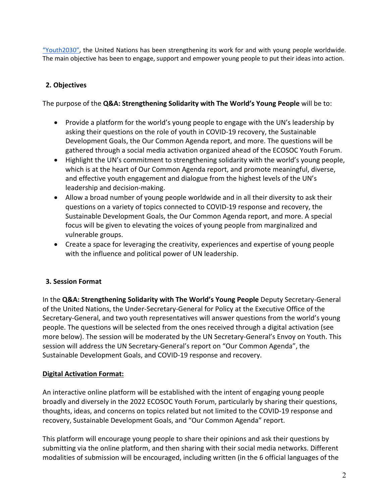["Youth2030",](https://www.unyouth2030.com/about) the United Nations has been strengthening its work for and with young people worldwide. The main objective has been to engage, support and empower young people to put their ideas into action.

#### **2. Objectives**

The purpose of the **Q&A: Strengthening Solidarity with The World's Young People** will be to:

- Provide a platform for the world's young people to engage with the UN's leadership by asking their questions on the role of youth in COVID-19 recovery, the Sustainable Development Goals, the Our Common Agenda report, and more. The questions will be gathered through a social media activation organized ahead of the ECOSOC Youth Forum.
- Highlight the UN's commitment to strengthening solidarity with the world's young people, which is at the heart of Our Common Agenda report, and promote meaningful, diverse, and effective youth engagement and dialogue from the highest levels of the UN's leadership and decision-making.
- Allow a broad number of young people worldwide and in all their diversity to ask their questions on a variety of topics connected to COVID-19 response and recovery, the Sustainable Development Goals, the Our Common Agenda report, and more. A special focus will be given to elevating the voices of young people from marginalized and vulnerable groups.
- Create a space for leveraging the creativity, experiences and expertise of young people with the influence and political power of UN leadership.

#### **3. Session Format**

In the **Q&A: Strengthening Solidarity with The World's Young People** Deputy Secretary-General of the United Nations, the Under-Secretary-General for Policy at the Executive Office of the Secretary-General, and two youth representatives will answer questions from the world's young people. The questions will be selected from the ones received through a digital activation (see more below). The session will be moderated by the UN Secretary-General's Envoy on Youth. This session will address the UN Secretary-General's report on "Our Common Agenda", the Sustainable Development Goals, and COVID-19 response and recovery.

#### **Digital Activation Format:**

An interactive online platform will be established with the intent of engaging young people broadly and diversely in the 2022 ECOSOC Youth Forum, particularly by sharing their questions, thoughts, ideas, and concerns on topics related but not limited to the COVID-19 response and recovery, Sustainable Development Goals, and "Our Common Agenda" report.

This platform will encourage young people to share their opinions and ask their questions by submitting via the online platform, and then sharing with their social media networks. Different modalities of submission will be encouraged, including written (in the 6 official languages of the